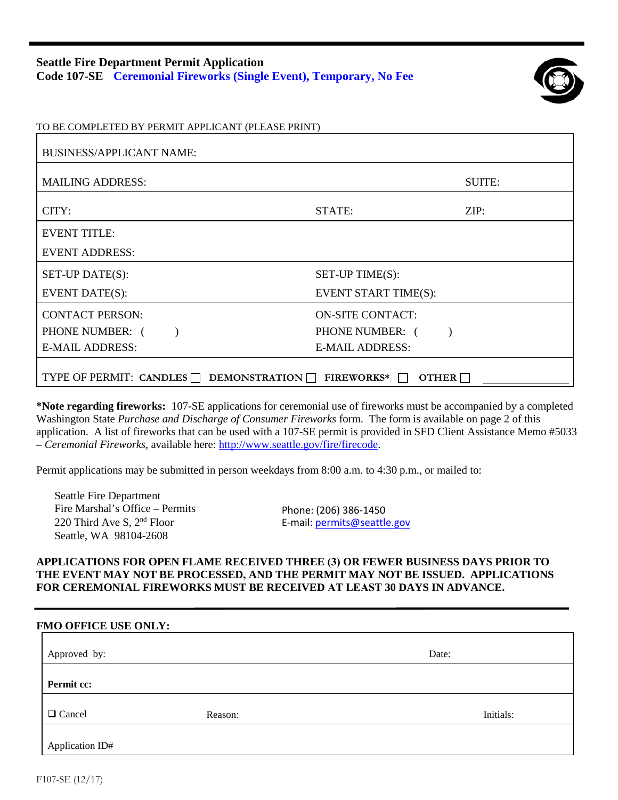## **Seattle Fire Department Permit Application Code 107-SE Ceremonial Fireworks (Single Event), Temporary, No Fee**



|  |  |  | TO BE COMPLETED BY PERMIT APPLICANT (PLEASE PRINT) |  |  |
|--|--|--|----------------------------------------------------|--|--|
|  |  |  |                                                    |  |  |

| <b>BUSINESS/APPLICANT NAME:</b>                                                          |                         |        |  |  |  |
|------------------------------------------------------------------------------------------|-------------------------|--------|--|--|--|
| <b>MAILING ADDRESS:</b>                                                                  |                         | SUITE: |  |  |  |
| CITY:                                                                                    | STATE:                  | ZIP:   |  |  |  |
| <b>EVENT TITLE:</b>                                                                      |                         |        |  |  |  |
| <b>EVENT ADDRESS:</b>                                                                    |                         |        |  |  |  |
| SET-UP DATE(S):                                                                          | SET-UP TIME(S):         |        |  |  |  |
| <b>EVENT DATE(S):</b>                                                                    | EVENT START TIME(S):    |        |  |  |  |
| <b>CONTACT PERSON:</b>                                                                   | <b>ON-SITE CONTACT:</b> |        |  |  |  |
| PHONE NUMBER: (                                                                          | PHONE NUMBER: (         |        |  |  |  |
| <b>E-MAIL ADDRESS:</b>                                                                   | <b>E-MAIL ADDRESS:</b>  |        |  |  |  |
| TYPE OF PERMIT: CANDLES $\Box$ DEMONSTRATION $\Box$<br><b>FIREWORKS*</b><br><b>OTHER</b> |                         |        |  |  |  |

**\*Note regarding fireworks:** 107-SE applications for ceremonial use of fireworks must be accompanied by a completed Washington State *Purchase and Discharge of Consumer Fireworks* form. The form is available on page 2 of this application. A list of fireworks that can be used with a 107-SE permit is provided in SFD Client Assistance Memo #5033 – *Ceremonial Fireworks*, available here: [http://www.seattle.gov/fire/firecode.](http://www.seattle.gov/fire/firecode)

Permit applications may be submitted in person weekdays from 8:00 a.m. to 4:30 p.m., or mailed to:

Seattle Fire Department Fire Marshal's Office – Permits 220 Third Ave S, 2nd Floor Seattle, WA 98104-2608

Phone: (206) 386-1450 E-mail: permits@seattle.gov

## **APPLICATIONS FOR OPEN FLAME RECEIVED THREE (3) OR FEWER BUSINESS DAYS PRIOR TO THE EVENT MAY NOT BE PROCESSED, AND THE PERMIT MAY NOT BE ISSUED. APPLICATIONS FOR CEREMONIAL FIREWORKS MUST BE RECEIVED AT LEAST 30 DAYS IN ADVANCE.**

## **FMO OFFICE USE ONLY:**

| Approved by:    |         | Date:     |
|-----------------|---------|-----------|
| Permit cc:      |         |           |
| □ Cancel        | Reason: | Initials: |
| Application ID# |         |           |